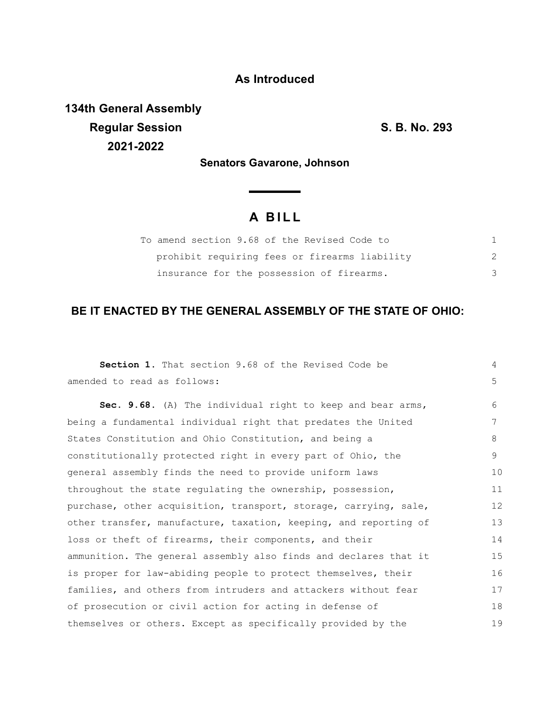## **As Introduced**

**134th General Assembly Regular Session S. B. No. 293 2021-2022**

**Senators Gavarone, Johnson**

<u> a shekara t</u>

## **A B I L L**

| To amend section 9.68 of the Revised Code to  |  |
|-----------------------------------------------|--|
| prohibit requiring fees or firearms liability |  |
| insurance for the possession of firearms.     |  |

## **BE IT ENACTED BY THE GENERAL ASSEMBLY OF THE STATE OF OHIO:**

| Section 1. That section 9.68 of the Revised Code be              | 4  |
|------------------------------------------------------------------|----|
| amended to read as follows:                                      | 5  |
| Sec. 9.68. (A) The individual right to keep and bear arms,       | 6  |
| being a fundamental individual right that predates the United    | 7  |
| States Constitution and Ohio Constitution, and being a           | 8  |
| constitutionally protected right in every part of Ohio, the      | 9  |
| general assembly finds the need to provide uniform laws          | 10 |
| throughout the state regulating the ownership, possession,       | 11 |
| purchase, other acquisition, transport, storage, carrying, sale, | 12 |
| other transfer, manufacture, taxation, keeping, and reporting of | 13 |
| loss or theft of firearms, their components, and their           | 14 |
| ammunition. The general assembly also finds and declares that it | 15 |
| is proper for law-abiding people to protect themselves, their    | 16 |
| families, and others from intruders and attackers without fear   | 17 |
| of prosecution or civil action for acting in defense of          | 18 |
| themselves or others. Except as specifically provided by the     | 19 |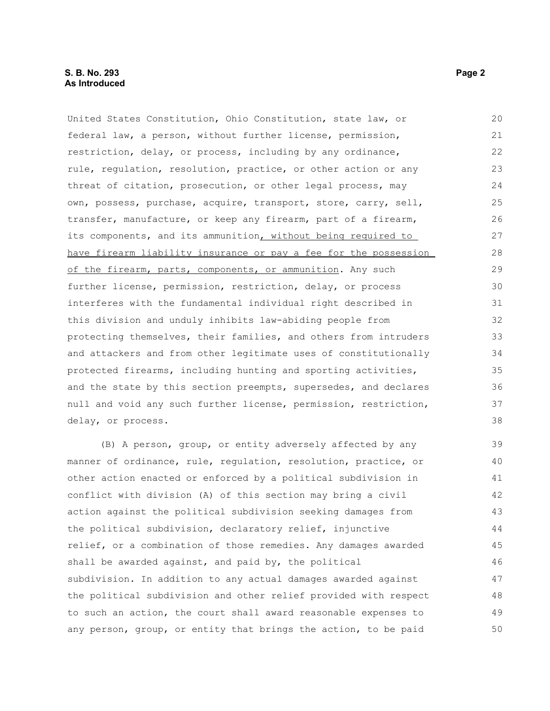United States Constitution, Ohio Constitution, state law, or federal law, a person, without further license, permission, restriction, delay, or process, including by any ordinance, rule, regulation, resolution, practice, or other action or any threat of citation, prosecution, or other legal process, may own, possess, purchase, acquire, transport, store, carry, sell, transfer, manufacture, or keep any firearm, part of a firearm, its components, and its ammunition, without being required to have firearm liability insurance or pay a fee for the possession of the firearm, parts, components, or ammunition. Any such further license, permission, restriction, delay, or process interferes with the fundamental individual right described in this division and unduly inhibits law-abiding people from protecting themselves, their families, and others from intruders and attackers and from other legitimate uses of constitutionally protected firearms, including hunting and sporting activities, and the state by this section preempts, supersedes, and declares null and void any such further license, permission, restriction, delay, or process. (B) A person, group, or entity adversely affected by any manner of ordinance, rule, regulation, resolution, practice, or other action enacted or enforced by a political subdivision in 20 21 22 23 24 25 26 27 28 29 30 31 32 33 34 35 36 37 38 39 40 41 42

conflict with division (A) of this section may bring a civil action against the political subdivision seeking damages from the political subdivision, declaratory relief, injunctive relief, or a combination of those remedies. Any damages awarded shall be awarded against, and paid by, the political subdivision. In addition to any actual damages awarded against the political subdivision and other relief provided with respect to such an action, the court shall award reasonable expenses to any person, group, or entity that brings the action, to be paid 43 44 45 46 47 48 49 50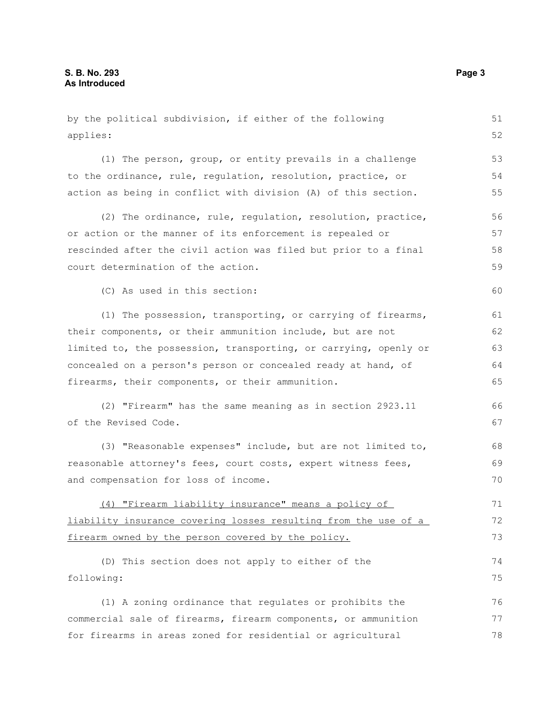by the political subdivision, if either of the following applies: (1) The person, group, or entity prevails in a challenge to the ordinance, rule, regulation, resolution, practice, or action as being in conflict with division (A) of this section. (2) The ordinance, rule, regulation, resolution, practice, or action or the manner of its enforcement is repealed or rescinded after the civil action was filed but prior to a final court determination of the action. (C) As used in this section: (1) The possession, transporting, or carrying of firearms, their components, or their ammunition include, but are not limited to, the possession, transporting, or carrying, openly or concealed on a person's person or concealed ready at hand, of firearms, their components, or their ammunition. (2) "Firearm" has the same meaning as in section 2923.11 of the Revised Code. (3) "Reasonable expenses" include, but are not limited to, reasonable attorney's fees, court costs, expert witness fees, and compensation for loss of income. (4) "Firearm liability insurance" means a policy of liability insurance covering losses resulting from the use of a firearm owned by the person covered by the policy. (D) This section does not apply to either of the following: (1) A zoning ordinance that regulates or prohibits the commercial sale of firearms, firearm components, or ammunition for firearms in areas zoned for residential or agricultural 51 52 53 54 55 56 57 58 59 60 61 62 63 64 65 66 67 68 69 70 71 72 73 74 75 76 77 78